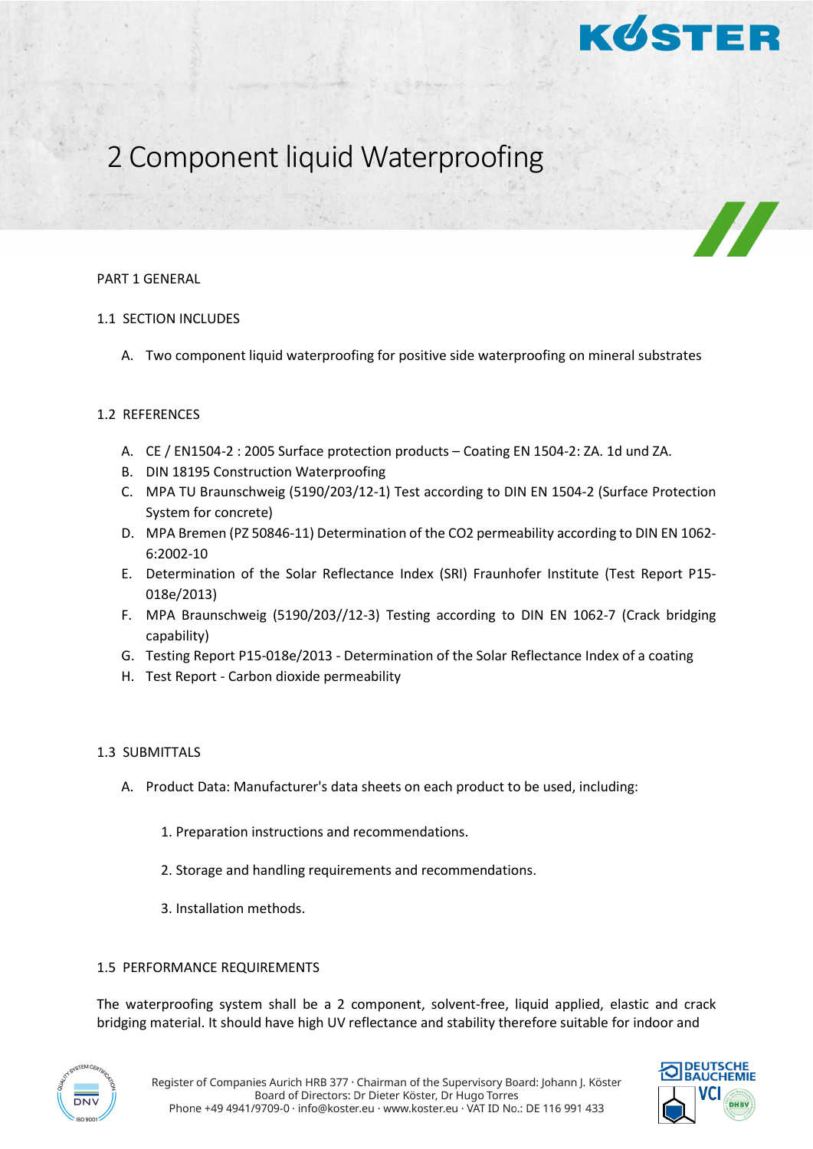

# 2 Component liquid Waterproofing

#### PART 1 GENERAL

## 1.1 SECTION INCLUDES

A. Two component liquid waterproofing for positive side waterproofing on mineral substrates

## 1.2 REFERENCES

- A. CE / EN1504-2 : 2005 Surface protection products Coating EN 1504-2: ZA. 1d und ZA.
- B. DIN 18195 Construction Waterproofing
- C. MPA TU Braunschweig (5190/203/12-1) Test according to DIN EN 1504-2 (Surface Protection System for concrete)
- D. MPA Bremen (PZ 50846-11) Determination of the CO2 permeability according to DIN EN 1062- 6:2002-10
- E. Determination of the Solar Reflectance Index (SRI) Fraunhofer Institute (Test Report P15- 018e/2013)
- F. MPA Braunschweig (5190/203//12-3) Testing according to DIN EN 1062-7 (Crack bridging capability)
- G. Testing Report P15-018e/2013 Determination of the Solar Reflectance Index of a coating
- H. Test Report Carbon dioxide permeability

#### 1.3 SUBMITTALS

- A. Product Data: Manufacturer's data sheets on each product to be used, including:
	- 1. Preparation instructions and recommendations.
	- 2. Storage and handling requirements and recommendations.
	- 3. Installation methods.

#### 1.5 PERFORMANCE REQUIREMENTS

The waterproofing system shall be a 2 component, solvent-free, liquid applied, elastic and crack bridging material. It should have high UV reflectance and stability therefore suitable for indoor and



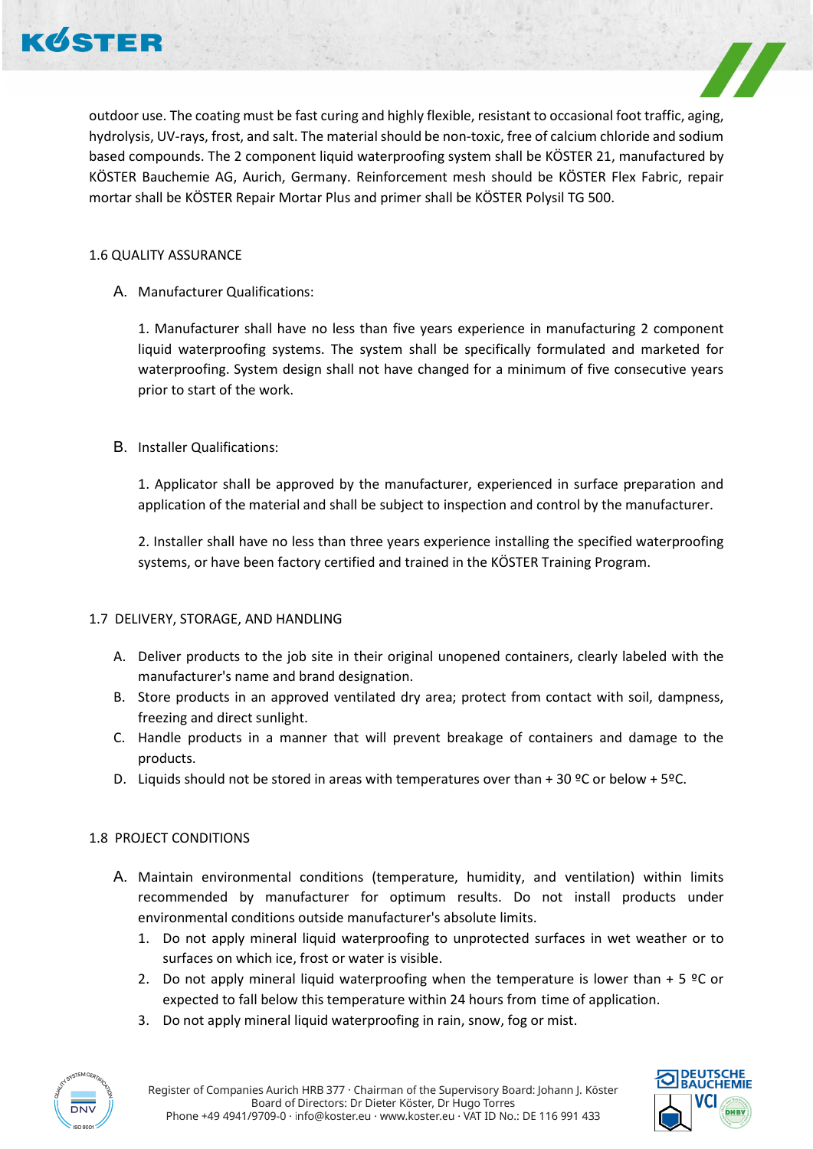



outdoor use. The coating must be fast curing and highly flexible, resistant to occasional foot traffic, aging, hydrolysis, UV-rays, frost, and salt. The material should be non-toxic, free of calcium chloride and sodium based compounds. The 2 component liquid waterproofing system shall be KÖSTER 21, manufactured by KÖSTER Bauchemie AG, Aurich, Germany. Reinforcement mesh should be KÖSTER Flex Fabric, repair mortar shall be KÖSTER Repair Mortar Plus and primer shall be KÖSTER Polysil TG 500.

## 1.6 QUALITY ASSURANCE

A. Manufacturer Qualifications:

1. Manufacturer shall have no less than five years experience in manufacturing 2 component liquid waterproofing systems. The system shall be specifically formulated and marketed for waterproofing. System design shall not have changed for a minimum of five consecutive years prior to start of the work.

## B. Installer Qualifications:

1. Applicator shall be approved by the manufacturer, experienced in surface preparation and application of the material and shall be subject to inspection and control by the manufacturer.

2. Installer shall have no less than three years experience installing the specified waterproofing systems, or have been factory certified and trained in the KÖSTER Training Program.

#### 1.7 DELIVERY, STORAGE, AND HANDLING

- A. Deliver products to the job site in their original unopened containers, clearly labeled with the manufacturer's name and brand designation.
- B. Store products in an approved ventilated dry area; protect from contact with soil, dampness, freezing and direct sunlight.
- C. Handle products in a manner that will prevent breakage of containers and damage to the products.
- D. Liquids should not be stored in areas with temperatures over than  $+30$  °C or below  $+5$ °C.

# 1.8 PROJECT CONDITIONS

- A. Maintain environmental conditions (temperature, humidity, and ventilation) within limits recommended by manufacturer for optimum results. Do not install products under environmental conditions outside manufacturer's absolute limits.
	- 1. Do not apply mineral liquid waterproofing to unprotected surfaces in wet weather or to surfaces on which ice, frost or water is visible.
	- 2. Do not apply mineral liquid waterproofing when the temperature is lower than  $+5$  °C or expected to fall below this temperature within 24 hours from time of application.
	- 3. Do not apply mineral liquid waterproofing in rain, snow, fog or mist.



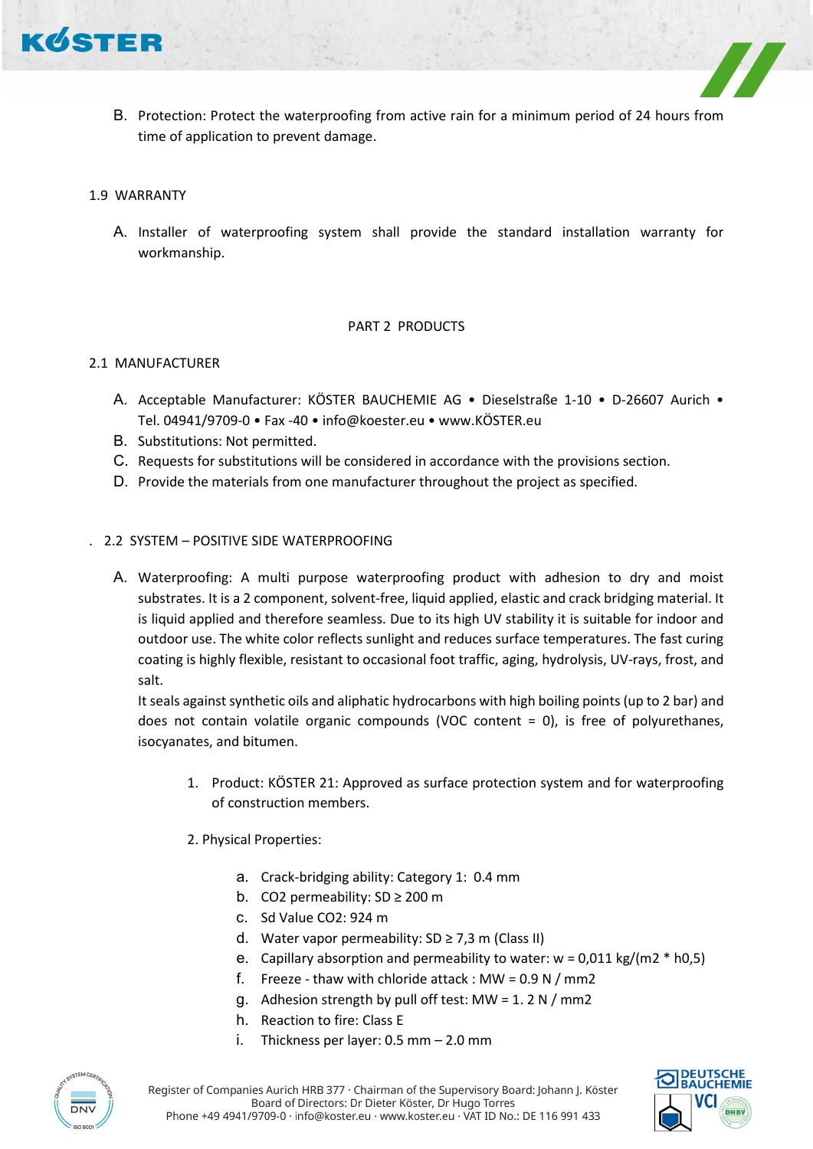

B. Protection: Protect the waterproofing from active rain for a minimum period of 24 hours from time of application to prevent damage.

## 1.9 WARRANTY

A. Installer of waterproofing system shall provide the standard installation warranty for workmanship.

## PART 2 PRODUCTS

## 2.1 MANUFACTURER

- A. Acceptable Manufacturer: KÖSTER BAUCHEMIE AG Dieselstraße 1-10 D-26607 Aurich Tel. 04941/9709-0 • Fax -40 • info@koester.eu • www.KÖSTER.eu
- B. Substitutions: Not permitted.
- C. Requests for substitutions will be considered in accordance with the provisions section.
- D. Provide the materials from one manufacturer throughout the project as specified.

## . 2.2 SYSTEM – POSITIVE SIDE WATERPROOFING

A. Waterproofing: A multi purpose waterproofing product with adhesion to dry and moist substrates. It is a 2 component, solvent-free, liquid applied, elastic and crack bridging material. It is liquid applied and therefore seamless. Due to its high UV stability it is suitable for indoor and outdoor use. The white color reflects sunlight and reduces surface temperatures. The fast curing coating is highly flexible, resistant to occasional foot traffic, aging, hydrolysis, UV-rays, frost, and salt.

It seals against synthetic oils and aliphatic hydrocarbons with high boiling points (up to 2 bar) and does not contain volatile organic compounds (VOC content = 0), is free of polyurethanes, isocyanates, and bitumen.

- 1. Product: KÖSTER 21: Approved as surface protection system and for waterproofing of construction members.
- 2. Physical Properties:
	- a. Crack-bridging ability: Category 1: 0.4 mm
	- b. CO2 permeability: SD ≥ 200 m
	- c. Sd Value CO2: 924 m
	- d. Water vapor permeability:  $SD \geq 7.3$  m (Class II)
	- e. Capillary absorption and permeability to water:  $w = 0.011$  kg/(m2  $*$  h0.5)
	- f. Freeze thaw with chloride attack : MW =  $0.9$  N / mm2
	- g. Adhesion strength by pull off test: MW = 1. 2 N / mm2
	- h. Reaction to fire: Class E
	- i. Thickness per layer: 0.5 mm 2.0 mm



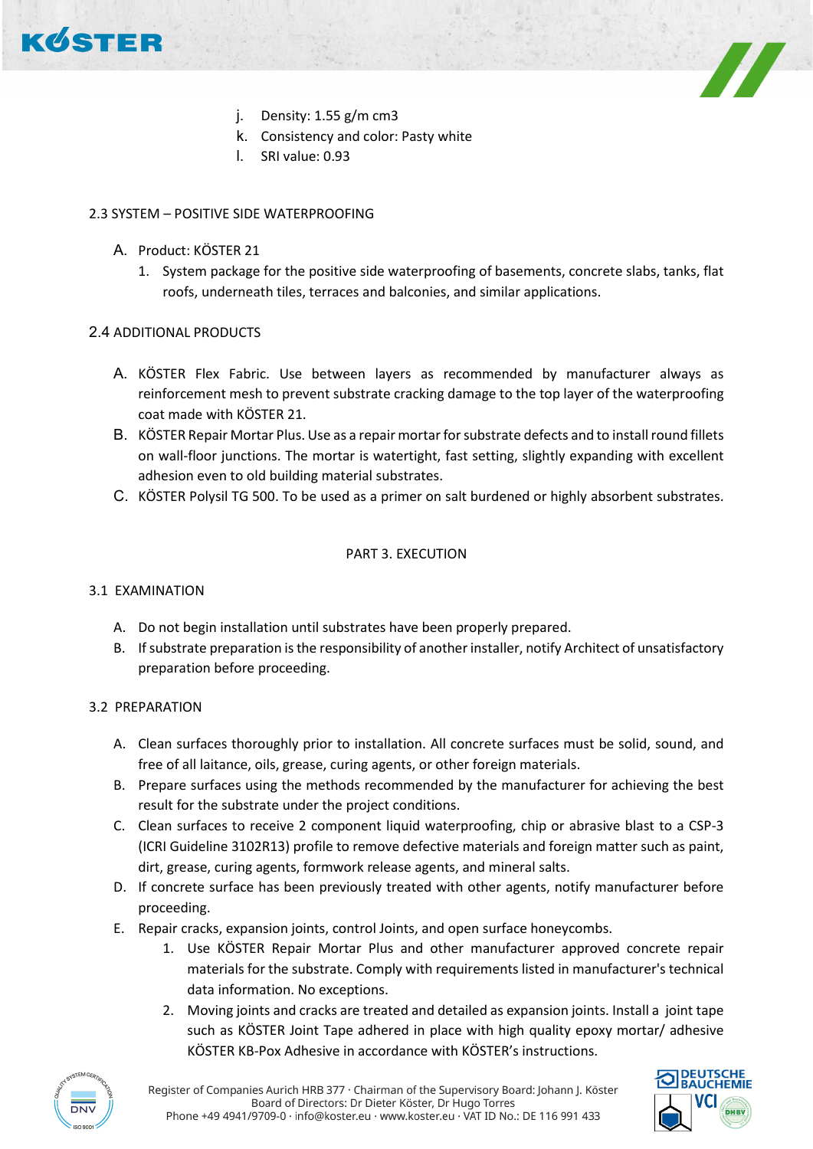

- j. Density: 1.55 g/m cm3
- k. Consistency and color: Pasty white
- l. SRI value: 0.93

# 2.3 SYSTEM – POSITIVE SIDE WATERPROOFING

- A. Product: KÖSTER 21
	- 1. System package for the positive side waterproofing of basements, concrete slabs, tanks, flat roofs, underneath tiles, terraces and balconies, and similar applications.

# 2.4 ADDITIONAL PRODUCTS

- A. KÖSTER Flex Fabric. Use between layers as recommended by manufacturer always as reinforcement mesh to prevent substrate cracking damage to the top layer of the waterproofing coat made with KÖSTER 21.
- B. KÖSTER Repair Mortar Plus. Use as a repair mortar for substrate defects and to install round fillets on wall-floor junctions. The mortar is watertight, fast setting, slightly expanding with excellent adhesion even to old building material substrates.
- C. KÖSTER Polysil TG 500. To be used as a primer on salt burdened or highly absorbent substrates.

# PART 3. EXECUTION

# 3.1 EXAMINATION

- A. Do not begin installation until substrates have been properly prepared.
- B. If substrate preparation is the responsibility of another installer, notify Architect of unsatisfactory preparation before proceeding.

# 3.2 PREPARATION

- A. Clean surfaces thoroughly prior to installation. All concrete surfaces must be solid, sound, and free of all laitance, oils, grease, curing agents, or other foreign materials.
- B. Prepare surfaces using the methods recommended by the manufacturer for achieving the best result for the substrate under the project conditions.
- C. Clean surfaces to receive 2 component liquid waterproofing, chip or abrasive blast to a CSP-3 (ICRI Guideline 3102R13) profile to remove defective materials and foreign matter such as paint, dirt, grease, curing agents, formwork release agents, and mineral salts.
- D. If concrete surface has been previously treated with other agents, notify manufacturer before proceeding.
- E. Repair cracks, expansion joints, control Joints, and open surface honeycombs.
	- 1. Use KÖSTER Repair Mortar Plus and other manufacturer approved concrete repair materials for the substrate. Comply with requirements listed in manufacturer's technical data information. No exceptions.
	- 2. Moving joints and cracks are treated and detailed as expansion joints. Install a joint tape such as KÖSTER Joint Tape adhered in place with high quality epoxy mortar/ adhesive KÖSTER KB-Pox Adhesive in accordance with KÖSTER's instructions.



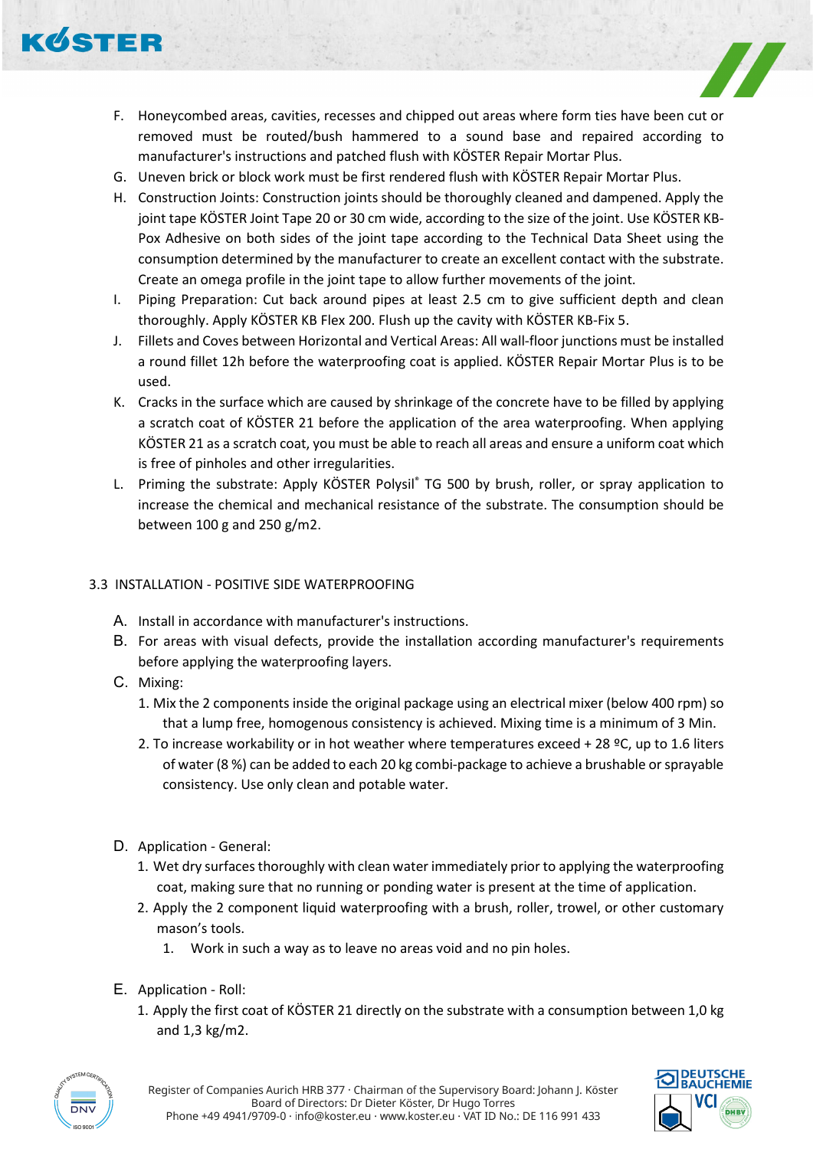

- F. Honeycombed areas, cavities, recesses and chipped out areas where form ties have been cut or removed must be routed/bush hammered to a sound base and repaired according to manufacturer's instructions and patched flush with KÖSTER Repair Mortar Plus.
- G. Uneven brick or block work must be first rendered flush with KÖSTER Repair Mortar Plus.
- H. Construction Joints: Construction joints should be thoroughly cleaned and dampened. Apply the joint tape KÖSTER Joint Tape 20 or 30 cm wide, according to the size of the joint. Use KÖSTER KB-Pox Adhesive on both sides of the joint tape according to the Technical Data Sheet using the consumption determined by the manufacturer to create an excellent contact with the substrate. Create an omega profile in the joint tape to allow further movements of the joint.
- I. Piping Preparation: Cut back around pipes at least 2.5 cm to give sufficient depth and clean thoroughly. Apply KÖSTER KB Flex 200. Flush up the cavity with KÖSTER KB-Fix 5.
- J. Fillets and Coves between Horizontal and Vertical Areas: All wall-floor junctions must be installed a round fillet 12h before the waterproofing coat is applied. KÖSTER Repair Mortar Plus is to be used.
- K. Cracks in the surface which are caused by shrinkage of the concrete have to be filled by applying a scratch coat of KÖSTER 21 before the application of the area waterproofing. When applying KÖSTER 21 as a scratch coat, you must be able to reach all areas and ensure a uniform coat which is free of pinholes and other irregularities.
- L. Priming the substrate: Apply KÖSTER Polysil® TG 500 by brush, roller, or spray application to increase the chemical and mechanical resistance of the substrate. The consumption should be between 100 g and 250 g/m2.

# 3.3 INSTALLATION - POSITIVE SIDE WATERPROOFING

- A. Install in accordance with manufacturer's instructions.
- B. For areas with visual defects, provide the installation according manufacturer's requirements before applying the waterproofing layers.
- C. Mixing:
	- 1. Mix the 2 components inside the original package using an electrical mixer (below 400 rpm) so that a lump free, homogenous consistency is achieved. Mixing time is a minimum of 3 Min.
	- 2. To increase workability or in hot weather where temperatures exceed + 28  $°C$ , up to 1.6 liters of water (8 %) can be added to each 20 kg combi-package to achieve a brushable or sprayable consistency. Use only clean and potable water.
- D. Application General:
	- 1. Wet dry surfaces thoroughly with clean water immediately prior to applying the waterproofing coat, making sure that no running or ponding water is present at the time of application.
	- 2. Apply the 2 component liquid waterproofing with a brush, roller, trowel, or other customary mason's tools.
		- 1. Work in such a way as to leave no areas void and no pin holes.
- E. Application Roll:
	- 1. Apply the first coat of KÖSTER 21 directly on the substrate with a consumption between 1,0 kg and 1,3 kg/m2.